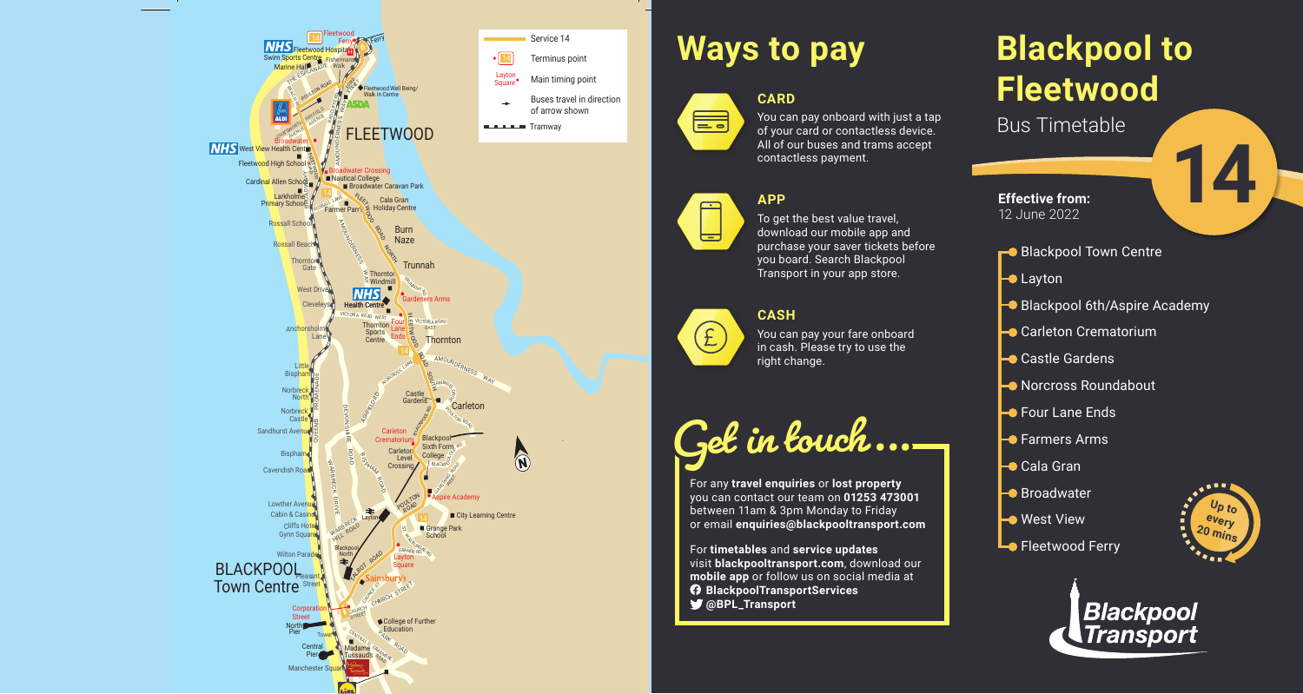# **Blackpool to Fleetwood**

Bus Timetable

- Blackpool Town Centre
- $\blacktriangleright$  **Layton**
- **Blackpool 6th/Aspire Academy**
- **Carleton Crematorium**
- **→** Castle Gardens
- **Norcross Roundabout**
- $\rightarrow$  **Four Lane Ends**
- **-** Farmers Arms
- **→** Cala Gran
- **Broadwater**
- **Nest View**
- **Lo** Fleetwood Ferry



#### You can pay onboard with just a tap of your card or contactless device. All of our buses and trams accept contactless payment.





**14**



## **Ways to pay**

**CARD**



### **APP**

To get the best value travel, download our mobile app and purchase your saver tickets before you board. Search Blackpool Transport in your app store.

#### **CASH**



You can pay your fare onboard in cash. Please try to use the right change.

**Get in touch...**

For any **travel enquiries** or **lost property** you can contact our team on **01253 473001** between 11am & 3pm Monday to Friday or email **enquiries@blackpooltransport.com**

For **timetables** and **service updates** visit **blackpooltransport.com**, download our **mobile app** or follow us on social media at **BlackpoolTransportServices @BPL\_Transport**



**Effective from:** 12 June 2022